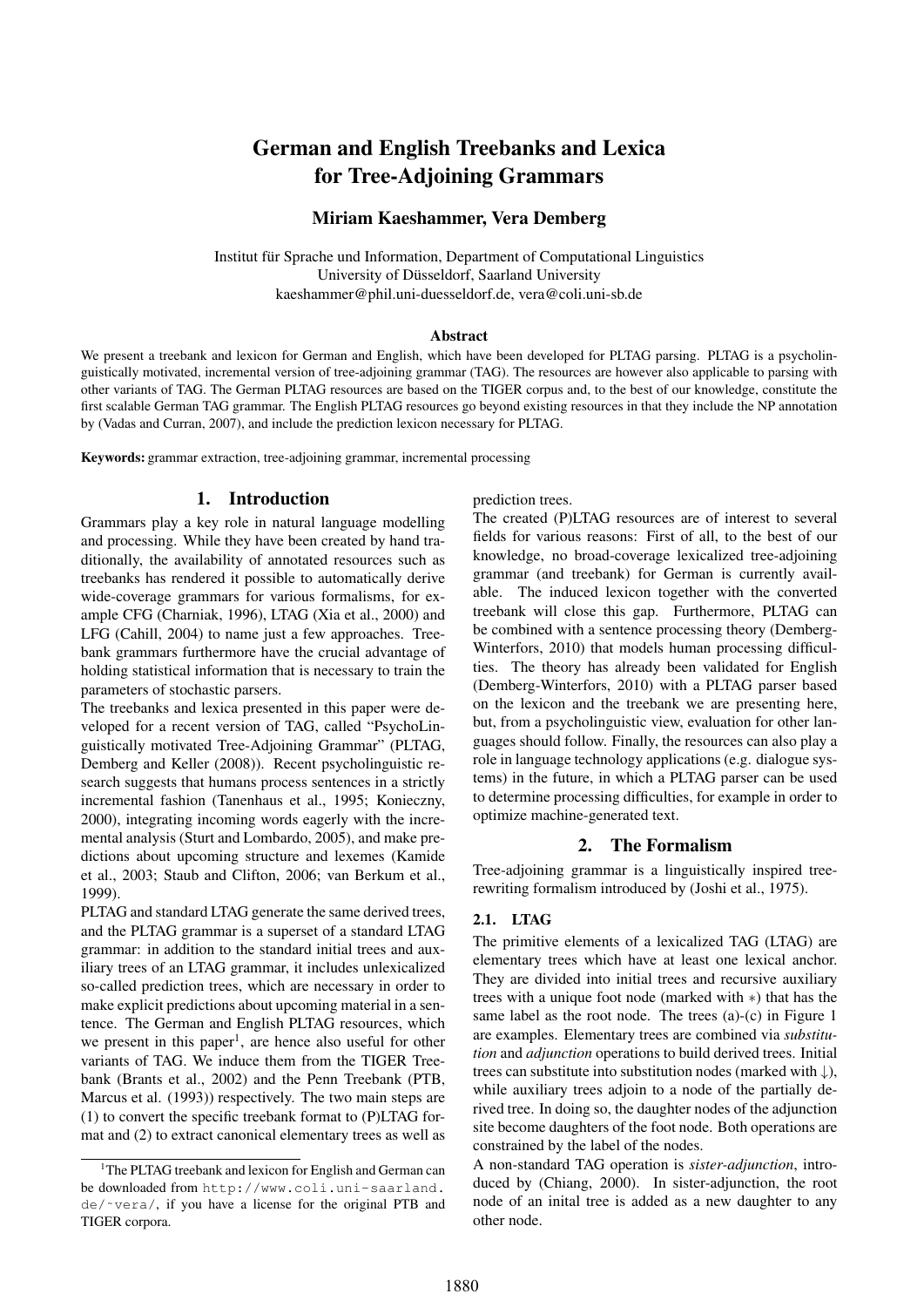# German and English Treebanks and Lexica for Tree-Adjoining Grammars

# Miriam Kaeshammer, Vera Demberg

Institut für Sprache und Information, Department of Computational Linguistics University of Düsseldorf, Saarland University kaeshammer@phil.uni-duesseldorf.de, vera@coli.uni-sb.de

## Abstract

We present a treebank and lexicon for German and English, which have been developed for PLTAG parsing. PLTAG is a psycholinguistically motivated, incremental version of tree-adjoining grammar (TAG). The resources are however also applicable to parsing with other variants of TAG. The German PLTAG resources are based on the TIGER corpus and, to the best of our knowledge, constitute the first scalable German TAG grammar. The English PLTAG resources go beyond existing resources in that they include the NP annotation by (Vadas and Curran, 2007), and include the prediction lexicon necessary for PLTAG.

Keywords: grammar extraction, tree-adjoining grammar, incremental processing

## 1. Introduction

Grammars play a key role in natural language modelling and processing. While they have been created by hand traditionally, the availability of annotated resources such as treebanks has rendered it possible to automatically derive wide-coverage grammars for various formalisms, for example CFG (Charniak, 1996), LTAG (Xia et al., 2000) and LFG (Cahill, 2004) to name just a few approaches. Treebank grammars furthermore have the crucial advantage of holding statistical information that is necessary to train the parameters of stochastic parsers.

The treebanks and lexica presented in this paper were developed for a recent version of TAG, called "PsychoLinguistically motivated Tree-Adjoining Grammar" (PLTAG, Demberg and Keller (2008)). Recent psycholinguistic research suggests that humans process sentences in a strictly incremental fashion (Tanenhaus et al., 1995; Konieczny, 2000), integrating incoming words eagerly with the incremental analysis (Sturt and Lombardo, 2005), and make predictions about upcoming structure and lexemes (Kamide et al., 2003; Staub and Clifton, 2006; van Berkum et al., 1999).

PLTAG and standard LTAG generate the same derived trees, and the PLTAG grammar is a superset of a standard LTAG grammar: in addition to the standard initial trees and auxiliary trees of an LTAG grammar, it includes unlexicalized so-called prediction trees, which are necessary in order to make explicit predictions about upcoming material in a sentence. The German and English PLTAG resources, which we present in this paper<sup>1</sup>, are hence also useful for other variants of TAG. We induce them from the TIGER Treebank (Brants et al., 2002) and the Penn Treebank (PTB, Marcus et al. (1993)) respectively. The two main steps are (1) to convert the specific treebank format to (P)LTAG format and (2) to extract canonical elementary trees as well as

#### prediction trees.

The created (P)LTAG resources are of interest to several fields for various reasons: First of all, to the best of our knowledge, no broad-coverage lexicalized tree-adjoining grammar (and treebank) for German is currently available. The induced lexicon together with the converted treebank will close this gap. Furthermore, PLTAG can be combined with a sentence processing theory (Demberg-Winterfors, 2010) that models human processing difficulties. The theory has already been validated for English (Demberg-Winterfors, 2010) with a PLTAG parser based on the lexicon and the treebank we are presenting here, but, from a psycholinguistic view, evaluation for other languages should follow. Finally, the resources can also play a role in language technology applications (e.g. dialogue systems) in the future, in which a PLTAG parser can be used to determine processing difficulties, for example in order to optimize machine-generated text.

## 2. The Formalism

Tree-adjoining grammar is a linguistically inspired treerewriting formalism introduced by (Joshi et al., 1975).

## 2.1. LTAG

The primitive elements of a lexicalized TAG (LTAG) are elementary trees which have at least one lexical anchor. They are divided into initial trees and recursive auxiliary trees with a unique foot node (marked with ∗) that has the same label as the root node. The trees (a)-(c) in Figure 1 are examples. Elementary trees are combined via *substitution* and *adjunction* operations to build derived trees. Initial trees can substitute into substitution nodes (marked with  $\downarrow$ ), while auxiliary trees adjoin to a node of the partially derived tree. In doing so, the daughter nodes of the adjunction site become daughters of the foot node. Both operations are constrained by the label of the nodes.

A non-standard TAG operation is *sister-adjunction*, introduced by (Chiang, 2000). In sister-adjunction, the root node of an inital tree is added as a new daughter to any other node.

<sup>&</sup>lt;sup>1</sup>The PLTAG treebank and lexicon for English and German can be downloaded from http://www.coli.uni-saarland. de/˜vera/, if you have a license for the original PTB and TIGER corpora.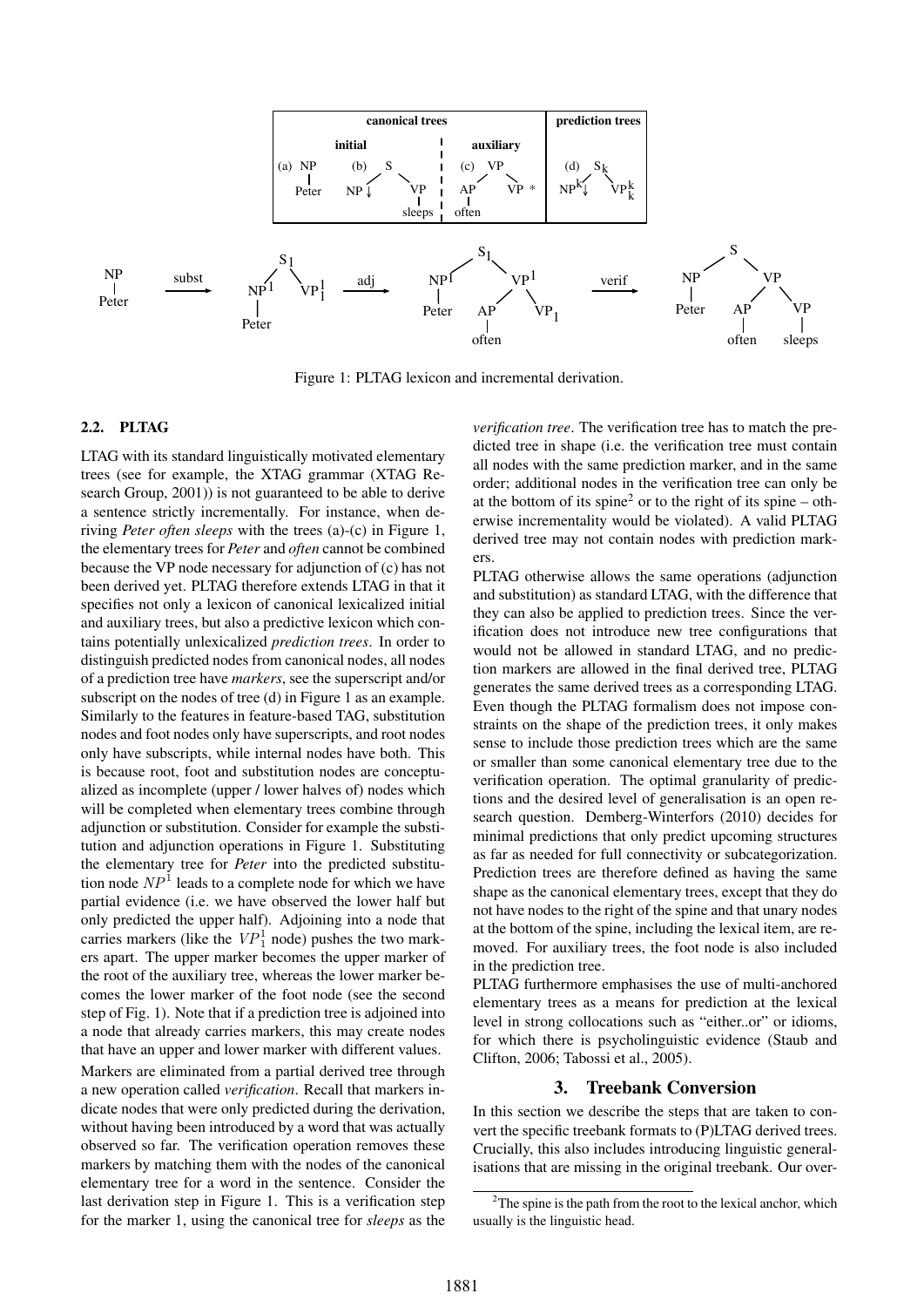

Figure 1: PLTAG lexicon and incremental derivation.

#### 2.2. PLTAG

LTAG with its standard linguistically motivated elementary trees (see for example, the XTAG grammar (XTAG Research Group, 2001)) is not guaranteed to be able to derive a sentence strictly incrementally. For instance, when deriving *Peter often sleeps* with the trees (a)-(c) in Figure 1, the elementary trees for *Peter* and *often* cannot be combined because the VP node necessary for adjunction of (c) has not been derived yet. PLTAG therefore extends LTAG in that it specifies not only a lexicon of canonical lexicalized initial and auxiliary trees, but also a predictive lexicon which contains potentially unlexicalized *prediction trees*. In order to distinguish predicted nodes from canonical nodes, all nodes of a prediction tree have *markers*, see the superscript and/or subscript on the nodes of tree (d) in Figure 1 as an example. Similarly to the features in feature-based TAG, substitution nodes and foot nodes only have superscripts, and root nodes only have subscripts, while internal nodes have both. This is because root, foot and substitution nodes are conceptualized as incomplete (upper / lower halves of) nodes which will be completed when elementary trees combine through adjunction or substitution. Consider for example the substitution and adjunction operations in Figure 1. Substituting the elementary tree for *Peter* into the predicted substitution node  $NP<sup>1</sup>$  leads to a complete node for which we have partial evidence (i.e. we have observed the lower half but only predicted the upper half). Adjoining into a node that carries markers (like the  $VP_1^1$  node) pushes the two markers apart. The upper marker becomes the upper marker of the root of the auxiliary tree, whereas the lower marker becomes the lower marker of the foot node (see the second step of Fig. 1). Note that if a prediction tree is adjoined into a node that already carries markers, this may create nodes that have an upper and lower marker with different values. Markers are eliminated from a partial derived tree through a new operation called *verification*. Recall that markers indicate nodes that were only predicted during the derivation, without having been introduced by a word that was actually observed so far. The verification operation removes these markers by matching them with the nodes of the canonical elementary tree for a word in the sentence. Consider the last derivation step in Figure 1. This is a verification step for the marker 1, using the canonical tree for *sleeps* as the *verification tree*. The verification tree has to match the predicted tree in shape (i.e. the verification tree must contain all nodes with the same prediction marker, and in the same order; additional nodes in the verification tree can only be at the bottom of its spine<sup>2</sup> or to the right of its spine – otherwise incrementality would be violated). A valid PLTAG derived tree may not contain nodes with prediction markers.

PLTAG otherwise allows the same operations (adjunction and substitution) as standard LTAG, with the difference that they can also be applied to prediction trees. Since the verification does not introduce new tree configurations that would not be allowed in standard LTAG, and no prediction markers are allowed in the final derived tree, PLTAG generates the same derived trees as a corresponding LTAG. Even though the PLTAG formalism does not impose constraints on the shape of the prediction trees, it only makes sense to include those prediction trees which are the same or smaller than some canonical elementary tree due to the verification operation. The optimal granularity of predictions and the desired level of generalisation is an open research question. Demberg-Winterfors (2010) decides for minimal predictions that only predict upcoming structures as far as needed for full connectivity or subcategorization. Prediction trees are therefore defined as having the same shape as the canonical elementary trees, except that they do not have nodes to the right of the spine and that unary nodes at the bottom of the spine, including the lexical item, are removed. For auxiliary trees, the foot node is also included in the prediction tree.

PLTAG furthermore emphasises the use of multi-anchored elementary trees as a means for prediction at the lexical level in strong collocations such as "either..or" or idioms, for which there is psycholinguistic evidence (Staub and Clifton, 2006; Tabossi et al., 2005).

## 3. Treebank Conversion

In this section we describe the steps that are taken to convert the specific treebank formats to (P)LTAG derived trees. Crucially, this also includes introducing linguistic generalisations that are missing in the original treebank. Our over-

<sup>&</sup>lt;sup>2</sup>The spine is the path from the root to the lexical anchor, which usually is the linguistic head.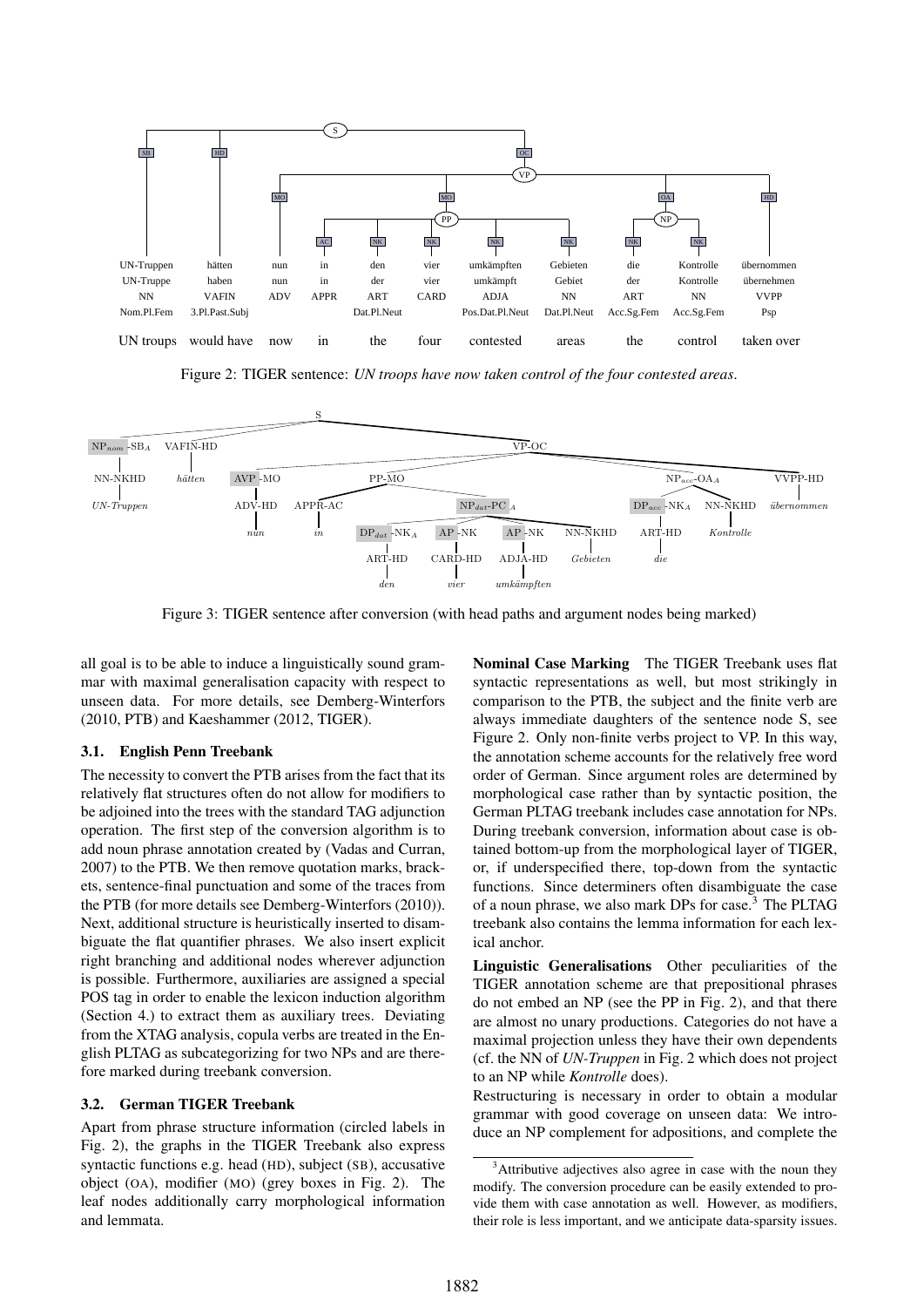

Figure 2: TIGER sentence: *UN troops have now taken control of the four contested areas*.



Figure 3: TIGER sentence after conversion (with head paths and argument nodes being marked)

all goal is to be able to induce a linguistically sound grammar with maximal generalisation capacity with respect to unseen data. For more details, see Demberg-Winterfors (2010, PTB) and Kaeshammer (2012, TIGER).

#### 3.1. English Penn Treebank

The necessity to convert the PTB arises from the fact that its relatively flat structures often do not allow for modifiers to be adjoined into the trees with the standard TAG adjunction operation. The first step of the conversion algorithm is to add noun phrase annotation created by (Vadas and Curran, 2007) to the PTB. We then remove quotation marks, brackets, sentence-final punctuation and some of the traces from the PTB (for more details see Demberg-Winterfors (2010)). Next, additional structure is heuristically inserted to disambiguate the flat quantifier phrases. We also insert explicit right branching and additional nodes wherever adjunction is possible. Furthermore, auxiliaries are assigned a special POS tag in order to enable the lexicon induction algorithm (Section 4.) to extract them as auxiliary trees. Deviating from the XTAG analysis, copula verbs are treated in the English PLTAG as subcategorizing for two NPs and are therefore marked during treebank conversion.

#### 3.2. German TIGER Treebank

Apart from phrase structure information (circled labels in Fig. 2), the graphs in the TIGER Treebank also express syntactic functions e.g. head (HD), subject (SB), accusative object (OA), modifier (MO) (grey boxes in Fig. 2). The leaf nodes additionally carry morphological information and lemmata.

Nominal Case Marking The TIGER Treebank uses flat syntactic representations as well, but most strikingly in comparison to the PTB, the subject and the finite verb are always immediate daughters of the sentence node S, see Figure 2. Only non-finite verbs project to VP. In this way, the annotation scheme accounts for the relatively free word order of German. Since argument roles are determined by morphological case rather than by syntactic position, the German PLTAG treebank includes case annotation for NPs. During treebank conversion, information about case is obtained bottom-up from the morphological layer of TIGER, or, if underspecified there, top-down from the syntactic functions. Since determiners often disambiguate the case of a noun phrase, we also mark DPs for case.<sup>3</sup> The PLTAG treebank also contains the lemma information for each lexical anchor.

Linguistic Generalisations Other peculiarities of the TIGER annotation scheme are that prepositional phrases do not embed an NP (see the PP in Fig. 2), and that there are almost no unary productions. Categories do not have a maximal projection unless they have their own dependents (cf. the NN of *UN-Truppen* in Fig. 2 which does not project to an NP while *Kontrolle* does).

Restructuring is necessary in order to obtain a modular grammar with good coverage on unseen data: We introduce an NP complement for adpositions, and complete the

<sup>&</sup>lt;sup>3</sup>Attributive adjectives also agree in case with the noun they modify. The conversion procedure can be easily extended to provide them with case annotation as well. However, as modifiers, their role is less important, and we anticipate data-sparsity issues.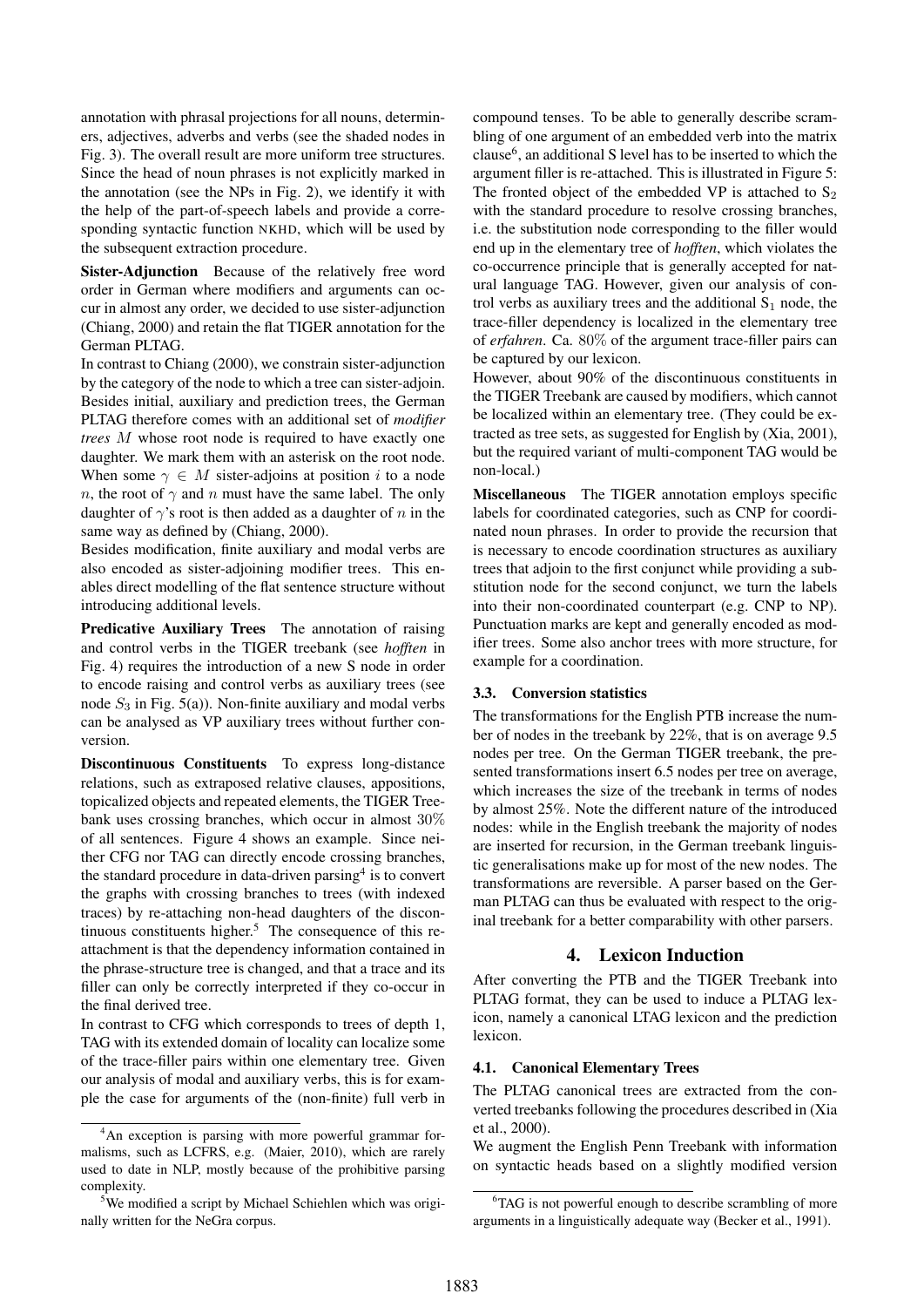annotation with phrasal projections for all nouns, determiners, adjectives, adverbs and verbs (see the shaded nodes in Fig. 3). The overall result are more uniform tree structures. Since the head of noun phrases is not explicitly marked in the annotation (see the NPs in Fig. 2), we identify it with the help of the part-of-speech labels and provide a corresponding syntactic function NKHD, which will be used by the subsequent extraction procedure.

Sister-Adjunction Because of the relatively free word order in German where modifiers and arguments can occur in almost any order, we decided to use sister-adjunction (Chiang, 2000) and retain the flat TIGER annotation for the German PLTAG.

In contrast to Chiang (2000), we constrain sister-adjunction by the category of the node to which a tree can sister-adjoin. Besides initial, auxiliary and prediction trees, the German PLTAG therefore comes with an additional set of *modifier trees* M whose root node is required to have exactly one daughter. We mark them with an asterisk on the root node. When some  $\gamma \in M$  sister-adjoins at position i to a node n, the root of  $\gamma$  and n must have the same label. The only daughter of  $\gamma$ 's root is then added as a daughter of n in the same way as defined by (Chiang, 2000).

Besides modification, finite auxiliary and modal verbs are also encoded as sister-adjoining modifier trees. This enables direct modelling of the flat sentence structure without introducing additional levels.

Predicative Auxiliary Trees The annotation of raising and control verbs in the TIGER treebank (see *hofften* in Fig. 4) requires the introduction of a new S node in order to encode raising and control verbs as auxiliary trees (see node  $S_3$  in Fig. 5(a)). Non-finite auxiliary and modal verbs can be analysed as VP auxiliary trees without further conversion.

Discontinuous Constituents To express long-distance relations, such as extraposed relative clauses, appositions, topicalized objects and repeated elements, the TIGER Treebank uses crossing branches, which occur in almost 30% of all sentences. Figure 4 shows an example. Since neither CFG nor TAG can directly encode crossing branches, the standard procedure in data-driven parsing<sup>4</sup> is to convert the graphs with crossing branches to trees (with indexed traces) by re-attaching non-head daughters of the discontinuous constituents higher.<sup>5</sup> The consequence of this reattachment is that the dependency information contained in the phrase-structure tree is changed, and that a trace and its filler can only be correctly interpreted if they co-occur in the final derived tree.

In contrast to CFG which corresponds to trees of depth 1, TAG with its extended domain of locality can localize some of the trace-filler pairs within one elementary tree. Given our analysis of modal and auxiliary verbs, this is for example the case for arguments of the (non-finite) full verb in compound tenses. To be able to generally describe scrambling of one argument of an embedded verb into the matrix clause<sup>6</sup>, an additional S level has to be inserted to which the argument filler is re-attached. This is illustrated in Figure 5: The fronted object of the embedded VP is attached to  $S_2$ with the standard procedure to resolve crossing branches, i.e. the substitution node corresponding to the filler would end up in the elementary tree of *hofften*, which violates the co-occurrence principle that is generally accepted for natural language TAG. However, given our analysis of control verbs as auxiliary trees and the additional  $S_1$  node, the trace-filler dependency is localized in the elementary tree of *erfahren*. Ca. 80% of the argument trace-filler pairs can be captured by our lexicon.

However, about 90% of the discontinuous constituents in the TIGER Treebank are caused by modifiers, which cannot be localized within an elementary tree. (They could be extracted as tree sets, as suggested for English by (Xia, 2001), but the required variant of multi-component TAG would be non-local.)

Miscellaneous The TIGER annotation employs specific labels for coordinated categories, such as CNP for coordinated noun phrases. In order to provide the recursion that is necessary to encode coordination structures as auxiliary trees that adjoin to the first conjunct while providing a substitution node for the second conjunct, we turn the labels into their non-coordinated counterpart (e.g. CNP to NP). Punctuation marks are kept and generally encoded as modifier trees. Some also anchor trees with more structure, for example for a coordination.

#### 3.3. Conversion statistics

The transformations for the English PTB increase the number of nodes in the treebank by 22%, that is on average 9.5 nodes per tree. On the German TIGER treebank, the presented transformations insert 6.5 nodes per tree on average, which increases the size of the treebank in terms of nodes by almost 25%. Note the different nature of the introduced nodes: while in the English treebank the majority of nodes are inserted for recursion, in the German treebank linguistic generalisations make up for most of the new nodes. The transformations are reversible. A parser based on the German PLTAG can thus be evaluated with respect to the original treebank for a better comparability with other parsers.

## 4. Lexicon Induction

After converting the PTB and the TIGER Treebank into PLTAG format, they can be used to induce a PLTAG lexicon, namely a canonical LTAG lexicon and the prediction lexicon.

#### 4.1. Canonical Elementary Trees

The PLTAG canonical trees are extracted from the converted treebanks following the procedures described in (Xia et al., 2000).

We augment the English Penn Treebank with information on syntactic heads based on a slightly modified version

<sup>&</sup>lt;sup>4</sup>An exception is parsing with more powerful grammar formalisms, such as LCFRS, e.g. (Maier, 2010), which are rarely used to date in NLP, mostly because of the prohibitive parsing complexity.

<sup>5</sup>We modified a script by Michael Schiehlen which was originally written for the NeGra corpus.

<sup>&</sup>lt;sup>6</sup>TAG is not powerful enough to describe scrambling of more arguments in a linguistically adequate way (Becker et al., 1991).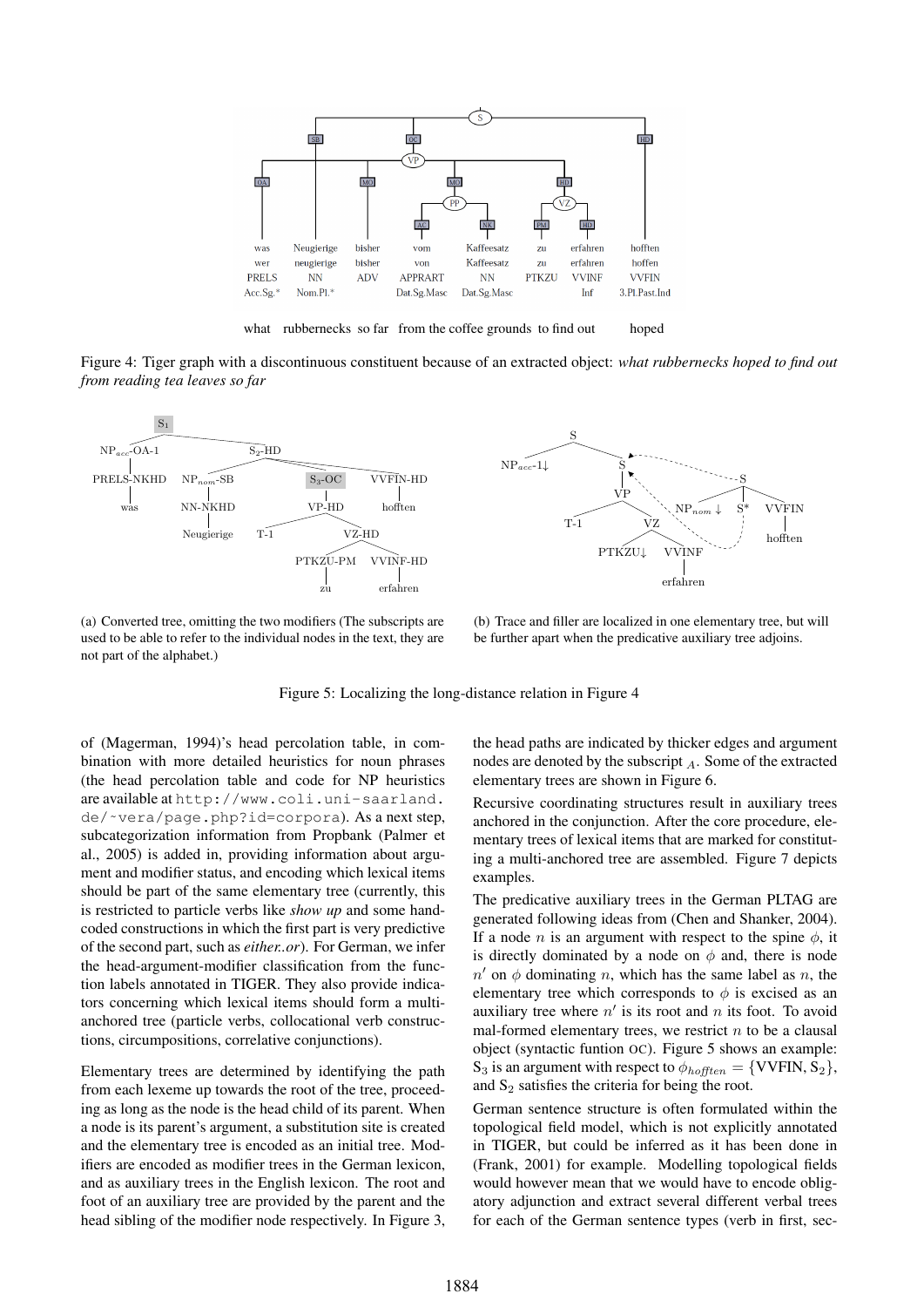

what rubbernecks so far from the coffee grounds to find out hoped

Figure 4: Tiger graph with a discontinuous constituent because of an extracted object: *what rubbernecks hoped to find out from reading tea leaves so far*



(a) Converted tree, omitting the two modifiers (The subscripts are used to be able to refer to the individual nodes in the text, they are not part of the alphabet.)

(b) Trace and filler are localized in one elementary tree, but will be further apart when the predicative auxiliary tree adjoins.

Figure 5: Localizing the long-distance relation in Figure 4

of (Magerman, 1994)'s head percolation table, in combination with more detailed heuristics for noun phrases (the head percolation table and code for NP heuristics are available at http://www.coli.uni-saarland. de/˜vera/page.php?id=corpora). As a next step, subcategorization information from Propbank (Palmer et al., 2005) is added in, providing information about argument and modifier status, and encoding which lexical items should be part of the same elementary tree (currently, this is restricted to particle verbs like *show up* and some handcoded constructions in which the first part is very predictive of the second part, such as *either..or*). For German, we infer the head-argument-modifier classification from the function labels annotated in TIGER. They also provide indicators concerning which lexical items should form a multianchored tree (particle verbs, collocational verb constructions, circumpositions, correlative conjunctions).

Elementary trees are determined by identifying the path from each lexeme up towards the root of the tree, proceeding as long as the node is the head child of its parent. When a node is its parent's argument, a substitution site is created and the elementary tree is encoded as an initial tree. Modifiers are encoded as modifier trees in the German lexicon, and as auxiliary trees in the English lexicon. The root and foot of an auxiliary tree are provided by the parent and the head sibling of the modifier node respectively. In Figure 3, the head paths are indicated by thicker edges and argument nodes are denoted by the subscript  $_A$ . Some of the extracted elementary trees are shown in Figure 6.

Recursive coordinating structures result in auxiliary trees anchored in the conjunction. After the core procedure, elementary trees of lexical items that are marked for constituting a multi-anchored tree are assembled. Figure 7 depicts examples.

The predicative auxiliary trees in the German PLTAG are generated following ideas from (Chen and Shanker, 2004). If a node *n* is an argument with respect to the spine  $\phi$ , it is directly dominated by a node on  $\phi$  and, there is node  $n'$  on  $\phi$  dominating n, which has the same label as n, the elementary tree which corresponds to  $\phi$  is excised as an auxiliary tree where  $n'$  is its root and n its foot. To avoid mal-formed elementary trees, we restrict  $n$  to be a clausal object (syntactic funtion OC). Figure 5 shows an example: S<sub>3</sub> is an argument with respect to  $\phi_{hofften} = \{VVFIN, S_2\},\$ and  $S_2$  satisfies the criteria for being the root.

German sentence structure is often formulated within the topological field model, which is not explicitly annotated in TIGER, but could be inferred as it has been done in (Frank, 2001) for example. Modelling topological fields would however mean that we would have to encode obligatory adjunction and extract several different verbal trees for each of the German sentence types (verb in first, sec-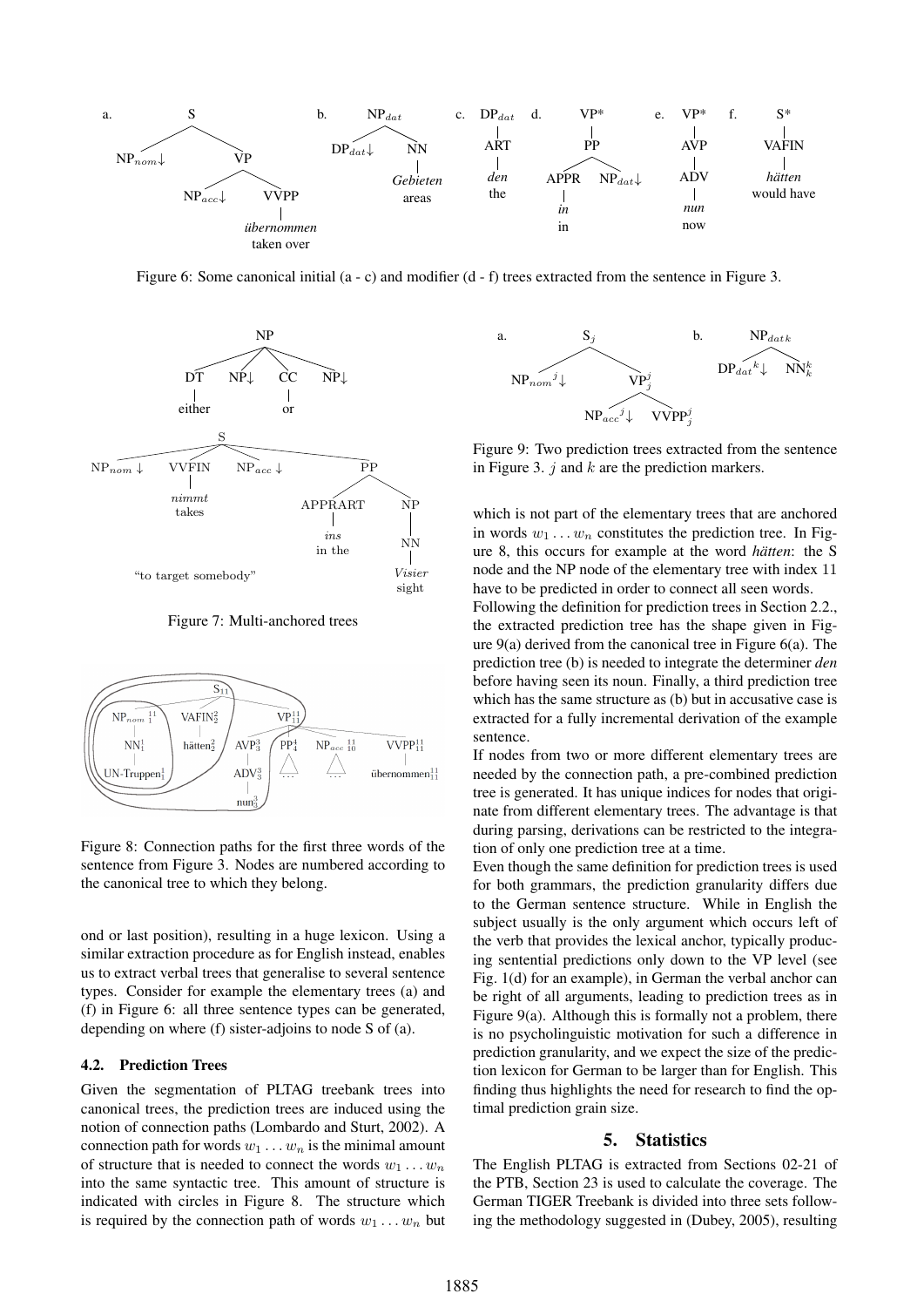

Figure 6: Some canonical initial (a - c) and modifier (d - f) trees extracted from the sentence in Figure 3.



Figure 7: Multi-anchored trees



Figure 8: Connection paths for the first three words of the sentence from Figure 3. Nodes are numbered according to the canonical tree to which they belong.

ond or last position), resulting in a huge lexicon. Using a similar extraction procedure as for English instead, enables us to extract verbal trees that generalise to several sentence types. Consider for example the elementary trees (a) and (f) in Figure 6: all three sentence types can be generated, depending on where (f) sister-adjoins to node S of (a).

#### 4.2. Prediction Trees

Given the segmentation of PLTAG treebank trees into canonical trees, the prediction trees are induced using the notion of connection paths (Lombardo and Sturt, 2002). A connection path for words  $w_1 \ldots w_n$  is the minimal amount of structure that is needed to connect the words  $w_1 \dots w_n$ into the same syntactic tree. This amount of structure is indicated with circles in Figure 8. The structure which is required by the connection path of words  $w_1 \dots w_n$  but



Figure 9: Two prediction trees extracted from the sentence in Figure 3.  $j$  and  $k$  are the prediction markers.

which is not part of the elementary trees that are anchored in words  $w_1 \ldots w_n$  constitutes the prediction tree. In Figure 8, this occurs for example at the word *hätten*: the S node and the NP node of the elementary tree with index 11 have to be predicted in order to connect all seen words.

Following the definition for prediction trees in Section 2.2., the extracted prediction tree has the shape given in Figure 9(a) derived from the canonical tree in Figure 6(a). The prediction tree (b) is needed to integrate the determiner *den* before having seen its noun. Finally, a third prediction tree which has the same structure as (b) but in accusative case is extracted for a fully incremental derivation of the example sentence.

If nodes from two or more different elementary trees are needed by the connection path, a pre-combined prediction tree is generated. It has unique indices for nodes that originate from different elementary trees. The advantage is that during parsing, derivations can be restricted to the integration of only one prediction tree at a time.

Even though the same definition for prediction trees is used for both grammars, the prediction granularity differs due to the German sentence structure. While in English the subject usually is the only argument which occurs left of the verb that provides the lexical anchor, typically producing sentential predictions only down to the VP level (see Fig. 1(d) for an example), in German the verbal anchor can be right of all arguments, leading to prediction trees as in Figure 9(a). Although this is formally not a problem, there is no psycholinguistic motivation for such a difference in prediction granularity, and we expect the size of the prediction lexicon for German to be larger than for English. This finding thus highlights the need for research to find the optimal prediction grain size.

#### 5. Statistics

The English PLTAG is extracted from Sections 02-21 of the PTB, Section 23 is used to calculate the coverage. The German TIGER Treebank is divided into three sets following the methodology suggested in (Dubey, 2005), resulting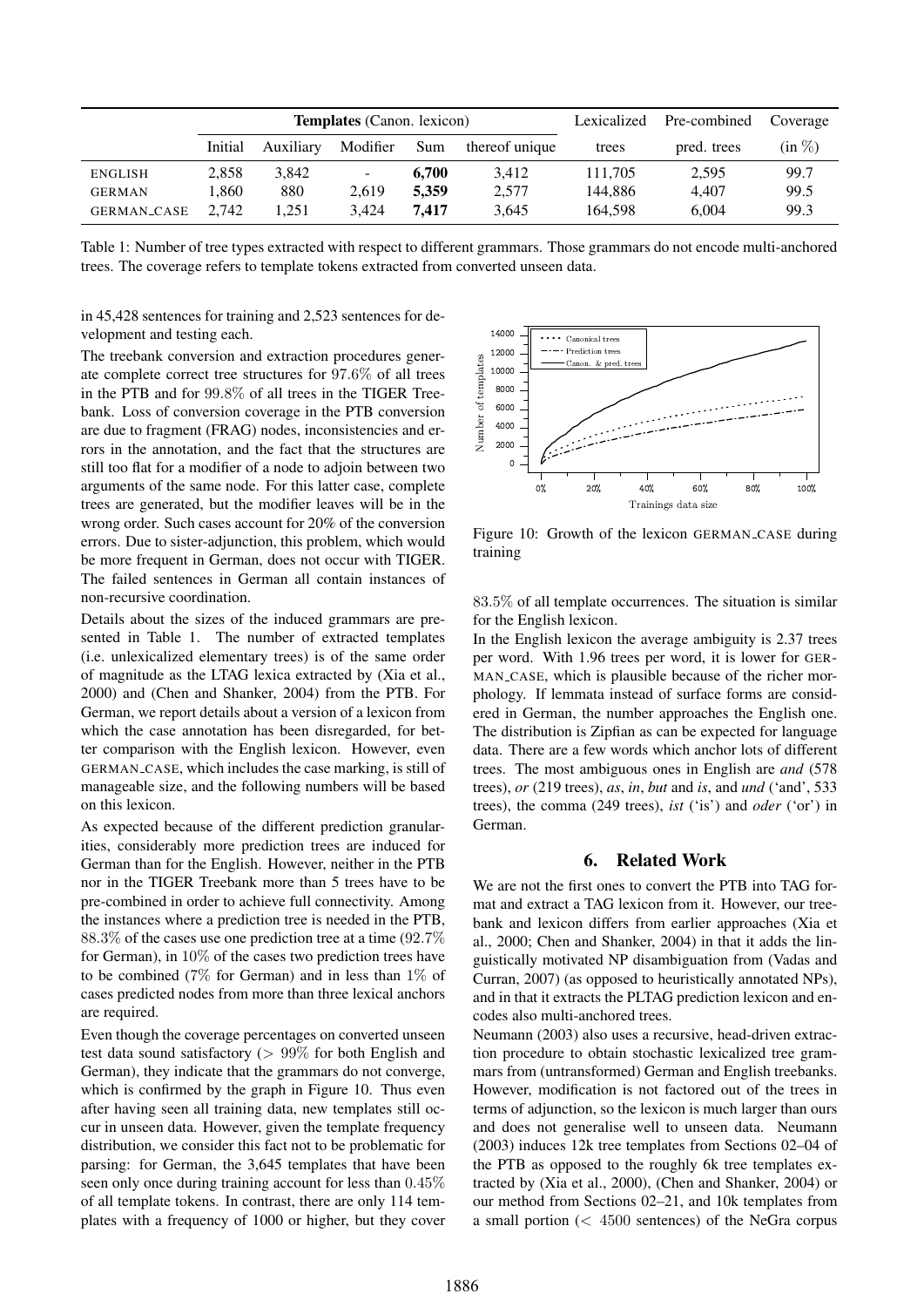|                | <b>Templates</b> (Canon. lexicon) |           |                |       |                | Lexicalized | Pre-combined | Coverage  |
|----------------|-----------------------------------|-----------|----------------|-------|----------------|-------------|--------------|-----------|
|                | Initial                           | Auxiliary | Modifier       | Sum   | thereof unique | trees       | pred. trees  | $(in \%)$ |
| <b>ENGLISH</b> | 2.858                             | 3.842     | $\blacksquare$ | 6.700 | 3.412          | 111.705     | 2,595        | 99.7      |
| <b>GERMAN</b>  | . 860                             | 880       | 2.619          | 5.359 | 2,577          | 144.886     | 4.407        | 99.5      |
| GERMAN_CASE    | 2.742                             | 1.251     | 3.424          | 7.417 | 3,645          | 164.598     | 6.004        | 99.3      |

Table 1: Number of tree types extracted with respect to different grammars. Those grammars do not encode multi-anchored trees. The coverage refers to template tokens extracted from converted unseen data.

in 45,428 sentences for training and 2,523 sentences for development and testing each.

The treebank conversion and extraction procedures generate complete correct tree structures for 97.6% of all trees in the PTB and for 99.8% of all trees in the TIGER Treebank. Loss of conversion coverage in the PTB conversion are due to fragment (FRAG) nodes, inconsistencies and errors in the annotation, and the fact that the structures are still too flat for a modifier of a node to adjoin between two arguments of the same node. For this latter case, complete trees are generated, but the modifier leaves will be in the wrong order. Such cases account for 20% of the conversion errors. Due to sister-adjunction, this problem, which would be more frequent in German, does not occur with TIGER. The failed sentences in German all contain instances of non-recursive coordination.

Details about the sizes of the induced grammars are presented in Table 1. The number of extracted templates (i.e. unlexicalized elementary trees) is of the same order of magnitude as the LTAG lexica extracted by (Xia et al., 2000) and (Chen and Shanker, 2004) from the PTB. For German, we report details about a version of a lexicon from which the case annotation has been disregarded, for better comparison with the English lexicon. However, even GERMAN CASE, which includes the case marking, is still of manageable size, and the following numbers will be based on this lexicon.

As expected because of the different prediction granularities, considerably more prediction trees are induced for German than for the English. However, neither in the PTB nor in the TIGER Treebank more than 5 trees have to be pre-combined in order to achieve full connectivity. Among the instances where a prediction tree is needed in the PTB, 88.3% of the cases use one prediction tree at a time (92.7% for German), in 10% of the cases two prediction trees have to be combined (7% for German) and in less than  $1\%$  of cases predicted nodes from more than three lexical anchors are required.

Even though the coverage percentages on converted unseen test data sound satisfactory ( $> 99\%$  for both English and German), they indicate that the grammars do not converge, which is confirmed by the graph in Figure 10. Thus even after having seen all training data, new templates still occur in unseen data. However, given the template frequency distribution, we consider this fact not to be problematic for parsing: for German, the 3,645 templates that have been seen only once during training account for less than 0.45% of all template tokens. In contrast, there are only 114 templates with a frequency of 1000 or higher, but they cover



Figure 10: Growth of the lexicon GERMAN CASE during training

83.5% of all template occurrences. The situation is similar for the English lexicon.

In the English lexicon the average ambiguity is 2.37 trees per word. With 1.96 trees per word, it is lower for GER-MAN\_CASE, which is plausible because of the richer morphology. If lemmata instead of surface forms are considered in German, the number approaches the English one. The distribution is Zipfian as can be expected for language data. There are a few words which anchor lots of different trees. The most ambiguous ones in English are *and* (578 trees), *or* (219 trees), *as*, *in*, *but* and *is*, and *und* ('and', 533 trees), the comma (249 trees), *ist* ('is') and *oder* ('or') in German.

### 6. Related Work

We are not the first ones to convert the PTB into TAG format and extract a TAG lexicon from it. However, our treebank and lexicon differs from earlier approaches (Xia et al., 2000; Chen and Shanker, 2004) in that it adds the linguistically motivated NP disambiguation from (Vadas and Curran, 2007) (as opposed to heuristically annotated NPs), and in that it extracts the PLTAG prediction lexicon and encodes also multi-anchored trees.

Neumann (2003) also uses a recursive, head-driven extraction procedure to obtain stochastic lexicalized tree grammars from (untransformed) German and English treebanks. However, modification is not factored out of the trees in terms of adjunction, so the lexicon is much larger than ours and does not generalise well to unseen data. Neumann (2003) induces 12k tree templates from Sections 02–04 of the PTB as opposed to the roughly 6k tree templates extracted by (Xia et al., 2000), (Chen and Shanker, 2004) or our method from Sections 02–21, and 10k templates from a small portion (< 4500 sentences) of the NeGra corpus